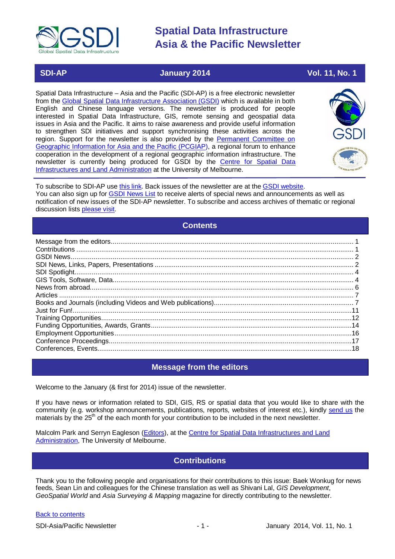

# **SDI-AP 3014** January 2014 **Vol. 11, No. 1**

Spatial Data Infrastructure – Asia and the Pacific (SDI-AP) is a free electronic newsletter from the [Global Spatial Data Infrastructure Association \(GSDI\)](http://www.gsdi.org/) which is available in both English and Chinese language versions. The newsletter is produced for people interested in Spatial Data Infrastructure, GIS, remote sensing and geospatial data issues in Asia and the Pacific. It aims to raise awareness and provide useful information to strengthen SDI initiatives and support synchronising these activities across the region. Support for the newsletter is also provided by the Permanent Committee on [Geographic Information for Asia and the Pacific \(PCGIAP\)](http://www.pcgiap.org/), a regional forum to enhance cooperation in the development of a regional geographic information infrastructure. The newsletter is currently being produced for GSDI by the [Centre for Spatial Data](http://www.csdila.unimelb.edu.au/)  [Infrastructures and Land Administration](http://www.csdila.unimelb.edu.au/) at the University of Melbourne.



To subscribe to SDI-AP use [this link.](http://www.gsdi.org/newslist/gsdisubscribe.asp) Back issues of the newsletter are at the [GSDI website.](http://www.gsdi.org/newsletters.asp) You can also sign up for [GSDI News List](http://www.gsdi.org/newslist/gsdisubscribe.asp) to receive alerts of special news and announcements as well as notification of new issues of the SDI-AP newsletter. To subscribe and access archives of thematic or regional discussion lists [please visit.](http://www.gsdi.org/discussionlists.asp)

# **Contents**

<span id="page-0-0"></span>

# **Message from the editors**

<span id="page-0-1"></span>Welcome to the January (& first for 2014) issue of the newsletter.

If you have news or information related to SDI, GIS, RS or spatial data that you would like to share with the community (e.g. workshop announcements, publications, reports, websites of interest etc.), kindly [send us](mailto:.SDI-AP@gsdi.org) the materials by the 25<sup>th</sup> of the each month for your contribution to be included in the next newsletter.

<span id="page-0-2"></span>Malcolm Park and Serryn Eagleson [\(Editors\)](mailto:Editor.SDIAP@gmail.com), at the [Centre for Spatial Data Infrastructures and Land](http://www.csdila.unimelb.edu.au/)  [Administration,](http://www.csdila.unimelb.edu.au/) The University of Melbourne.

# **Contributions**

Thank you to the following people and organisations for their contributions to this issue: Baek Wonkug for news feeds, Sean Lin and colleagues for the Chinese translation as well as Shivani Lal, *GIS Development*, *GeoSpatial World* and *Asia Surveying & Mapping* magazine for directly contributing to the newsletter.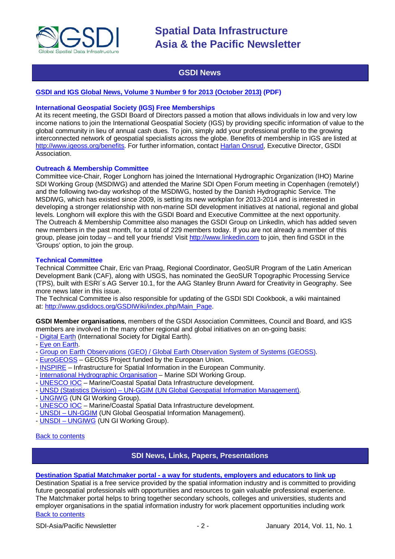

# **GSDI News**

# <span id="page-1-0"></span>**[GSDI and IGS Global News, Volume 3 Number 9 for 2013 \(October 2013\)](http://www.gsdi.org/newsletters#GSDI) (PDF)**

### **International Geospatial Society (IGS) Free Memberships**

At its recent meeting, the GSDI Board of Directors passed a motion that allows individuals in low and very low income nations to join the International Geospatial Society (IGS) by providing specific information of value to the global community in lieu of annual cash dues. To join, simply add your professional profile to the growing interconnected network of geospatial specialists across the globe. Benefits of membership in IGS are listed at [http://www.igeoss.org/benefits.](https://owa.unimelb.edu.au/owa/redir.aspx?C=54c2b4d3973d480282dc7c38384f4204&URL=http%3a%2f%2fwww.igeoss.org%2fbenefits) For further information, contact [Harlan Onsrud,](mailto:onsrud@gsdi.org) Executive Director, GSDI Association.

# **Outreach & Membership Committee**

Committee vice-Chair, Roger Longhorn has joined the International Hydrographic Organization (IHO) Marine SDI Working Group (MSDIWG) and attended the Marine SDI Open Forum meeting in Copenhagen (remotely!) and the following two-day workshop of the MSDIWG, hosted by the Danish Hydrographic Service. The MSDIWG, which has existed since 2009, is setting its new workplan for 2013-2014 and is interested in developing a stronger relationship with non-marine SDI development initiatives at national, regional and global levels. Longhorn will explore this with the GSDI Board and Executive Committee at the next opportunity. The Outreach & Membership Committee also manages the GSDI Group on LinkedIn, which has added seven new members in the past month, for a total of 229 members today. If you are not already a member of this group, please join today – and tell your friends! Visit [http://www.linkedin.com](https://owa.unimelb.edu.au/owa/redir.aspx?C=rDg2dzQe3UKfwin28aspI4dcf2EJ4c8IKc_jDEPg91nlCdVQBzUX28or6ioXGu07OXWheK19Jyk.&URL=http%3a%2f%2fwww.linkedin.com) to join, then find GSDI in the 'Groups' option, to join the group.

### **Technical Committee**

Technical Committee Chair, Eric van Praag, Regional Coordinator, GeoSUR Program of the Latin American Development Bank (CAF), along with USGS, has nominated the GeoSUR Topographic Processing Service (TPS), built with ESRI´s AG Server 10.1, for the AAG Stanley Brunn Award for Creativity in Geography. See more news later in this issue.

The Technical Committee is also responsible for updating of the GSDI SDI Cookbook, a wiki maintained at: [http://www.gsdidocs.org/GSDIWiki/index.php/Main\\_Page.](https://owa.unimelb.edu.au/owa/redir.aspx?C=rDg2dzQe3UKfwin28aspI4dcf2EJ4c8IKc_jDEPg91nlCdVQBzUX28or6ioXGu07OXWheK19Jyk.&URL=http%3a%2f%2fwww.gsdidocs.org%2fGSDIWiki%2findex.php%2fMain_Page)

**GSDI Member organisations**, members of the GSDI Association Committees, Council and Board, and IGS members are involved in the many other regional and global initiatives on an on-going basis:

- [Digital Earth](http://www.digitalearth-isde.org/) (International Society for Digital Earth).
- [Eye on Earth.](http://www.eyeonearth.org/)
- [Group on Earth Observations \(GEO\) / Global Earth Observation System of Systems \(GEOSS\).](http://www.earthobservations.org/)
- [EuroGEOSS](http://www.eurogeoss.eu/default.aspx) GEOSS Project funded by the European Union.
- [INSPIRE](http://www.inspire.jrc.ec.europa.eu/) Infrastructure for Spatial Information in the European Community.
- [International Hydrographic Organisation](http://www.iho.int/) Marine SDI Working Group.
- [UNESCO IOC](http://www.iode.org/) Marine/Coastal Spatial Data Infrastructure development.
- UNSD (Statistics Division) [UN-GGIM \(UN Global Geospatial Information Management\).](http://www.ggim.un.org/)
- [UNGIWG](http://www.ungiwg.org/) (UN GI Working Group).
- [UNESCO IOC](http://www.iode.org/) Marine/Coastal Spatial Data Infrastructure development.
- UNSDI [UN-GGIM](http://www.ggim.un.org/) (UN Global Geospatial Information Management).
- UNSDI [UNGIWG](http://www.ungiwg.org/) (UN GI Working Group).

# <span id="page-1-1"></span>[Back to contents](#page-0-0)

# **SDI News, Links, Papers, Presentations**

# **Destination Spatial Matchmaker portal - [a way for students, employers and educators to link up](http://www.destinationspatial-matchmaker.org/index.htm)**

[Back to contents](#page-0-0) Destination Spatial is a free service provided by the spatial information industry and is committed to providing future geospatial professionals with opportunities and resources to gain valuable professional experience. The Matchmaker portal helps to bring together secondary schools, colleges and universities, students and employer organisations in the spatial information industry for work placement opportunities including work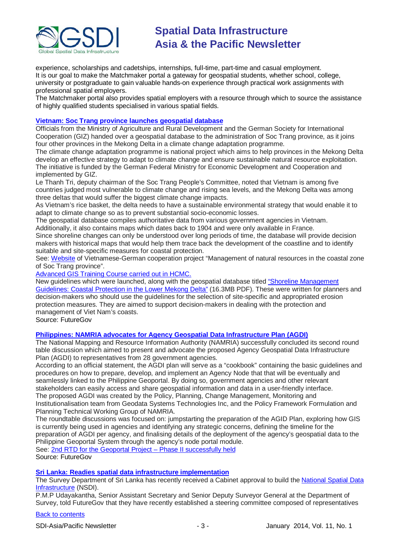

experience, scholarships and cadetships, internships, full-time, part-time and casual employment. It is our goal to make the Matchmaker portal a gateway for geospatial students, whether school, college, university or postgraduate to gain valuable hands-on experience through practical work assignments with professional spatial employers.

The Matchmaker portal also provides spatial employers with a resource through which to source the assistance of highly qualified students specialised in various spatial fields.

# **[Vietnam: Soc Trang province launches geospatial database](http://www.futuregov.asia/articles/2013/nov/25/vietnam-launches-geospatial-database/)**

Officials from the Ministry of Agriculture and Rural Development and the German Society for International Cooperation (GIZ) handed over a geospatial database to the administration of Soc Trang province, as it joins four other provinces in the Mekong Delta in a climate change adaptation programme.

The climate change adaptation programme is national project which aims to help provinces in the Mekong Delta develop an effective strategy to adapt to climate change and ensure sustainable natural resource exploitation. The initiative is funded by the German Federal Ministry for Economic Development and Cooperation and implemented by GIZ.

Le Thanh Tri, deputy chairman of the Soc Trang People's Committee, noted that Vietnam is among five countries judged most vulnerable to climate change and rising sea levels, and the Mekong Delta was among three deltas that would suffer the biggest climate change impacts.

As Vietnam's rice basket, the delta needs to have a sustainable environmental strategy that would enable it to adapt to climate change so as to prevent substantial socio-economic losses.

The geospatial database compiles authoritative data from various government agencies in Vietnam. Additionally, it also contains maps which dates back to 1904 and were only available in France.

Since shoreline changes can only be understood over long periods of time, the database will provide decision makers with historical maps that would help them trace back the development of the coastline and to identify suitable and site-specific measures for coastal protection.

See: [Website](http://czm-soctrang.org.vn/en/Home.aspx) of Vietnamese-German cooperation project "Management of natural resources in the coastal zone of Soc Trang province".

[Advanced GIS Training Course carried out in HCMC.](http://czm-soctrang.org.vn/Publications/EN/LatestNews/GISTraining2013.html)

New guidelines which were launched, along with the geospatial database titled ["Shoreline Management](http://czm-soctrang.org.vn/Publications/EN/Docs/Shoreline%20Management%20Guidelines%20EN.pdf)  [Guidelines: Coastal Protection in the Lower Mekong Delta"](http://czm-soctrang.org.vn/Publications/EN/Docs/Shoreline%20Management%20Guidelines%20EN.pdf) (16.3MB PDF). These were written for planners and decision-makers who should use the guidelines for the selection of site-specific and appropriated erosion protection measures. They are aimed to support decision-makers in dealing with the protection and management of Viet Nam's coasts.

Source: FutureGov

# **[Philippines: NAMRIA advocates for Agency Geospatial Data Infrastructure Plan \(AGDI\)](http://www.futuregov.asia/articles/2013/nov/22/philippines-advocates-proposed-geospatial-data-inf/)**

The National Mapping and Resource Information Authority (NAMRIA) successfully concluded its second round table discussion which aimed to present and advocate the proposed Agency Geospatial Data Infrastructure Plan (AGDI) to representatives from 28 government agencies.

According to an official statement, the AGDI plan will serve as a "cookbook" containing the basic guidelines and procedures on how to prepare, develop, and implement an Agency Node that that will be eventually and seamlessly linked to the Philippine Geoportal. By doing so, government agencies and other relevant stakeholders can easily access and share geospatial information and data in a user-friendly interface. The proposed AGDI was created by the Policy, Planning, Change Management, Monitoring and Institutionalisation team from Geodata Systems Technologies Inc, and the Policy Framework Formulation and Planning Technical Working Group of NAMRIA.

The roundtable discussions was focused on: jumpstarting the preparation of the AGID Plan, exploring how GIS is currently being used in agencies and identifying any strategic concerns, defining the timeline for the preparation of AGDI per agency, and finalising details of the deployment of the agency's geospatial data to the Philippine Geoportal System through the agency's node portal module.

See: [2nd RTD for the Geoportal Project –](http://www.namria.gov.ph/Downloads/Publications/NewsScoop/2013novNo55.pdf) Phase II successfully held Source: FutureGov

# **[Sri Lanka: Readies spatial data infrastructure implementation](http://www.futuregov.asia/articles/2013/dec/03/sri-lanka-readies-spatial-data-infrastructure-impl/)**

The Survey Department of Sri Lanka has recently received a Cabinet approval to build the [National Spatial Data](http://www.nsdi.survey.gov.lk/)  [Infrastructure](http://www.nsdi.survey.gov.lk/) (NSDI).

P.M.P Udayakantha, Senior Assistant Secretary and Senior Deputy Surveyor General at the Department of Survey, told FutureGov that they have recently established a steering committee composed of representatives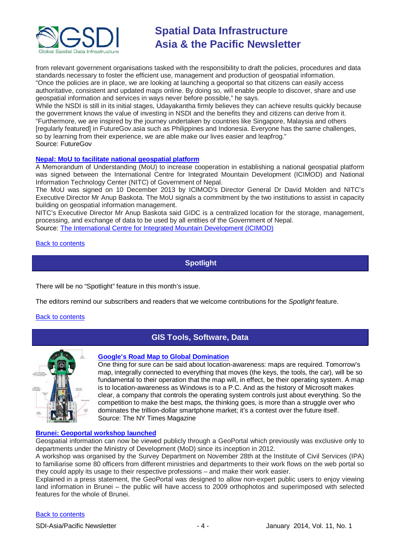

from relevant government organisations tasked with the responsibility to draft the policies, procedures and data standards necessary to foster the efficient use, management and production of geospatial information. "Once the policies are in place, we are looking at launching a geoportal so that citizens can easily access authoritative, consistent and updated maps online. By doing so, will enable people to discover, share and use geospatial information and services in ways never before possible," he says.

While the NSDI is still in its initial stages, Udayakantha firmly believes they can achieve results quickly because the government knows the value of investing in NSDI and the benefits they and citizens can derive from it. "Furthermore, we are inspired by the journey undertaken by countries like Singapore, Malaysia and others [regularly featured] in FutureGov.asia such as Philippines and Indonesia. Everyone has the same challenges, so by learning from their experience, we are able make our lives easier and leapfrog." Source: FutureGov

# **[Nepal: MoU to facilitate national geospatial platform](http://www.icimod.org/?q=12492)**

A Memorandum of Understanding (MoU) to increase cooperation in establishing a national geospatial platform was signed between the International Centre for Integrated Mountain Development (ICIMOD) and National Information Technology Center (NITC) of Government of Nepal.

The MoU was signed on 10 December 2013 by ICIMOD's Director General Dr David Molden and NITC's Executive Director Mr Anup Baskota. The MoU signals a commitment by the two institutions to assist in capacity building on geospatial information management.

NITC's Executive Director Mr Anup Baskota said GIDC is a centralized location for the storage, management, processing, and exchange of data to be used by all entities of the Government of Nepal.

Source: [The International Centre for Integrated Mountain Development \(ICIMOD\)](http://www.icimod.org/)

# <span id="page-3-0"></span>[Back to contents](#page-0-0)

**Spotlight**

There will be no "Spotlight" feature in this month's issue.

The editors remind our subscribers and readers that we welcome contributions for the *Spotlight* feature.

### <span id="page-3-1"></span>[Back to contents](#page-0-0)

# **GIS Tools, Software, Data**



### **[Google's Road Map to Global Domination](http://www.nytimes.com/2013/12/15/magazine/googles-plan-for-global-domination-dont-ask-why-ask-where.html?ref=magazine)**

One thing for sure can be said about location-awareness: maps are required. Tomorrow's map, integrally connected to everything that moves (the keys, the tools, the car), will be so fundamental to their operation that the map will, in effect, be their operating system. A map is to location-awareness as Windows is to a P.C. And as the history of Microsoft makes clear, a company that controls the operating system controls just about everything. So the competition to make the best maps, the thinking goes, is more than a struggle over who dominates the trillion-dollar smartphone market; it's a contest over the future itself. Source: The NY Times Magazine

# **[Brunei: Geoportal workshop launched](http://www.bt.com.bn/frontpage-news-national/2013/11/29/portal-way-view-geospatial-data)**

Geospatial information can now be viewed publicly through a GeoPortal which previously was exclusive only to departments under the Ministry of Development (MoD) since its inception in 2012.

A workshop was organised by the Survey Department on November 28th at the Institute of Civil Services (IPA) to familiarise some 80 officers from different ministries and departments to their work flows on the web portal so they could apply its usage to their respective professions – and make their work easier.

Explained in a press statement, the GeoPortal was designed to allow non-expert public users to enjoy viewing land information in Brunei – the public will have access to 2009 orthophotos and superimposed with selected features for the whole of Brunei.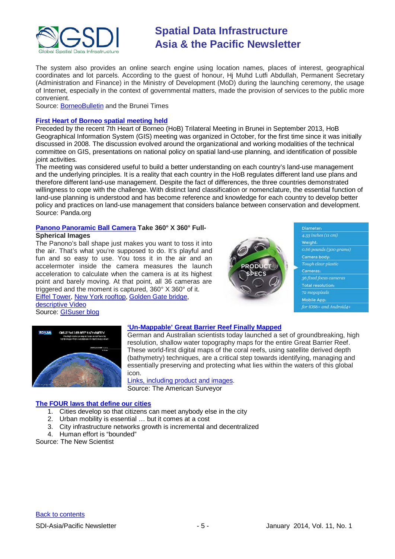

The system also provides an online search engine using location names, places of interest, geographical coordinates and lot parcels. According to the guest of honour, Hj Muhd Lutfi Abdullah, Permanent Secretary (Administration and Finance) in the Ministry of Development (MoD) during the launching ceremony, the usage of Internet, especially in the context of governmental matters, made the provision of services to the public more convenient.

Source: [BorneoBulletin](http://borneobulletin.brunei-online.com/index.php/2013/11/29/geoportal-workshop-launched/) and the Brunei Times

# **[First Heart of Borneo spatial meeting held](http://wwf.panda.org/?212013/The-First-Heart-of-Borneo-Spatial-Meeting)**

Preceded by the recent 7th Heart of Borneo (HoB) Trilateral Meeting in Brunei in September 2013, HoB Geographical Information System (GIS) meeting was organized in October, for the first time since it was initially discussed in 2008. The discussion evolved around the organizational and working modalities of the technical committee on GIS, presentations on national policy on spatial land-use planning, and identification of possible ioint activities.

The meeting was considered useful to build a better understanding on each country's land-use management and the underlying principles. It is a reality that each country in the HoB regulates different land use plans and therefore different land-use management. Despite the fact of differences, the three countries demonstrated willingness to cope with the challenge. With distinct land classification or nomenclature, the essential function of land-use planning is understood and has become reference and knowledge for each country to develop better policy and practices on land-use management that considers balance between conservation and development. Source: Panda.org

# **[Panono Panoramic Ball Camera](http://www.panono.com/ballcamera/) Take 360° X 360° Full-**

# **Spherical Images**

The Panono's ball shape just makes you want to toss it into the air. That's what you're supposed to do. It's playful and fun and so easy to use. You toss it in the air and an accelermoter inside the camera measures the launch acceleration to calculate when the camera is at its highest point and barely moving. At that point, all 36 cameras are triggered and the moment is captured, 360° X 360° of it. [Eiffel Tower,](http://www.panono.com/v/524/) [New York rooftop,](http://www.panono.com/v/1197/) [Golden Gate bridge,](http://www.panono.com/v/707/)

[descriptive Video](http://www.panono.com/ballcamera/) Source: [GISuser blog](http://blog.gisuser.com/2013/12/07/wow-photog-technology-panono-panoramic-ball-camera-icanhaz/)



| <b>Diameter</b>          |  |
|--------------------------|--|
| 4.33 inches (11 cm)      |  |
| Weight:                  |  |
| 0.66 pounds (300 grams)  |  |
| Carnera body:            |  |
| Tough clear plastic      |  |
| Cameras:                 |  |
| 36 fixed focus cameras   |  |
| <b>Total resolution:</b> |  |
| 72 megapixels            |  |
| Mobile App.              |  |
| for iOS6+ and Android4+  |  |



# **['Un-Mappable' Great Barrier Reef Finally Mapped](http://www.amerisurv.com/content/view/12008/)**

German and Australian scientists today launched a set of groundbreaking, high resolution, shallow water topography maps for the entire Great Barrier Reef. These world-first digital maps of the coral reefs, using satellite derived depth (bathymetry) techniques, are a critical step towards identifying, managing and essentially preserving and protecting what lies within the waters of this global icon.

[Links, including product and images.](http://www.eomap.de/great-barrier-reef) Source: The American Surveyor

# **[The FOUR laws that define our cities](http://www.newscientist.com/article/mg22029470.400-four-simple-principles-to-plan-the-best-city-possible.html)**

- 1. Cities develop so that citizens can meet anybody else in the city
- 2. Urban mobility is essential … but it comes at a cost
- 3. City infrastructure networks growth is incremental and decentralized
- 4. Human effort is "bounded"

Source: The New Scientist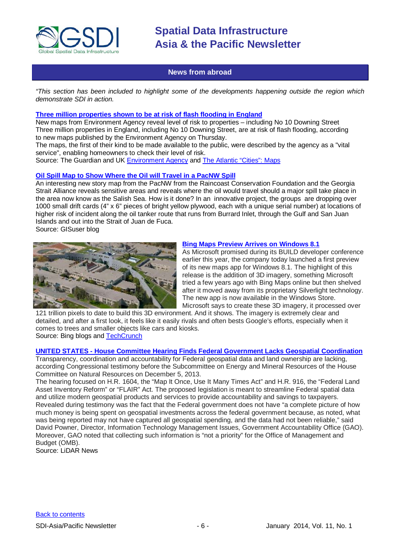

# **News from abroad**

<span id="page-5-0"></span>*"This section has been included to highlight some of the developments happening outside the region which demonstrate SDI in action.*

# **[Three million properties shown to be at risk of flash flooding in England](http://www.theguardian.com/environment/2013/dec/12/three-million-properties-at-risk-flash-flooding?CMP=ema_632)**

New maps from Environment Agency reveal level of risk to properties – including No 10 Downing Street Three million properties in England, including No 10 Downing Street, are at risk of flash flooding, according to new maps published by the Environment Agency on Thursday.

The maps, the first of their kind to be made available to the public, were described by the agency as a "vital service", enabling homeowners to check their level of risk.

Source: The Guardian and UK [Environment Agency](http://watermaps.environment-agency.gov.uk/wiyby/wiyby.aspx?topic=ufmfsw#x=357683&y=355134&scale=2) and [The Atlantic "Cities":](http://www.theatlanticcities.com/neighborhoods/2013/12/what-london-would-look-if-thames-barrier-failed/7799/) Maps

# **[Oil Spill Map to Show Where the Oil will Travel in a PacNW Spill](http://blog.gisuser.com/2013/12/10/salish-sea-oil-spill-map-will-show-where-the-oil-will-travel-in-a-pacnw-spill/)**

An interesting new story map from the PacNW from the Raincoast Conservation Foundation and the Georgia Strait Alliance reveals sensitive areas and reveals where the oil would travel should a major spill take place in the area now know as the Salish Sea. How is it done? In an innovative project, the groups are dropping over 1000 small drift cards (4" x 6" pieces of bright yellow plywood, each with a unique serial number) at locations of higher risk of incident along the oil tanker route that runs from Burrard Inlet, through the Gulf and San Juan Islands and out into the Strait of Juan de Fuca.

Source: GISuser blog



## **[Bing Maps Preview Arrives on Windows 8.1](http://www.bing.com/blogs/site_blogs/b/search/archive/2013/12/05/maps3d.aspx)**

As Microsoft promised during its BUILD developer conference earlier this year, the company today launched a first preview of its new maps app for Windows 8.1. The highlight of this release is the addition of 3D imagery, something Microsoft tried a few years ago with Bing Maps online but then shelved after it moved away from its proprietary Silverlight technology. The new app is now available in the Windows Store. Microsoft says to create these 3D imagery, it processed over

121 trillion pixels to date to build this 3D environment. And it shows. The imagery is extremely clear and detailed, and after a first look, it feels like it easily rivals and often bests Google's efforts, especially when it comes to trees and smaller objects like cars and kiosks. Source: Bing blogs and [TechCrunch](http://techcrunch.com/2013/12/05/microsoft-launches-bing-maps-preview-with-high-res-3d-imagery/)

### **UNITED STATES - [House Committee Hearing Finds Federal Government Lacks Geospatial Coordination](http://www.lidarnews.com/content/view/10189/136/)**

Transparency, coordination and accountability for Federal geospatial data and land ownership are lacking, according Congressional testimony before the Subcommittee on Energy and Mineral Resources of the House Committee on Natural Resources on December 5, 2013.

The hearing focused on H.R. 1604, the "Map It Once, Use It Many Times Act" and H.R. 916, the "Federal Land Asset Inventory Reform" or "FLAIR" Act. The proposed legislation is meant to streamline Federal spatial data and utilize modern geospatial products and services to provide accountability and savings to taxpayers. Revealed during testimony was the fact that the Federal government does not have "a complete picture of how much money is being spent on geospatial investments across the federal government because, as noted, what was being reported may not have captured all geospatial spending, and the data had not been reliable," said David Powner, Director, Information Technology Management Issues, Government Accountability Office (GAO). Moreover, GAO noted that collecting such information is "not a priority" for the Office of Management and Budget (OMB).

Source: LiDAR News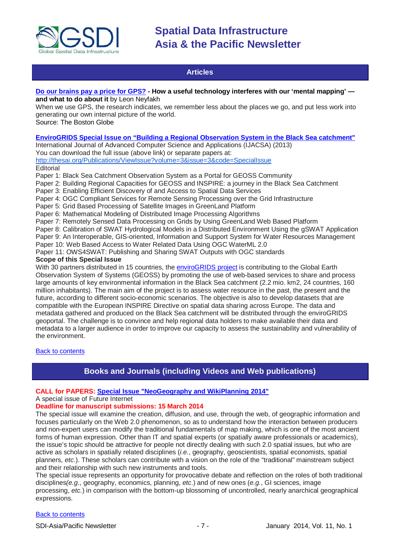

# **Articles**

# <span id="page-6-0"></span>**[Do our brains pay a price for GPS?](http://www.bostonglobe.com/ideas/2013/08/17/our-brains-pay-price-for-gps/d2Tnvo4hiWjuybid5UhQVO/story.html) - How a useful technology interferes with our 'mental mapping' and what to do about it** by Leon Neyfakh

When we use GPS, the research indicates, we remember less about the places we go, and put less work into generating our own internal picture of the world.

Source: The Boston Globe

# **[EnviroGRIDS Special Issue on "Building a Regional Observation System in the Black Sea catchment"](http://thesai.org/Publications/EnviroGRIDS)**

International Journal of Advanced Computer Science and Applications (IJACSA) (2013)

You can download the full issue (above link) or separate papers at:

<http://thesai.org/Publications/ViewIssue?volume=3&issue=3&code=SpecialIssue>

**Editorial** 

Paper 1: Black Sea Catchment Observation System as a Portal for GEOSS Community

Paper 2: Building Regional Capacities for GEOSS and INSPIRE: a journey in the Black Sea Catchment

Paper 3: Enabling Efficient Discovery of and Access to Spatial Data Services

Paper 4: OGC Compliant Services for Remote Sensing Processing over the Grid Infrastructure

Paper 5: Grid Based Processing of Satellite Images in GreenLand Platform

Paper 6: Mathematical Modeling of Distributed Image Processing Algorithms

Paper 7: Remotely Sensed Data Processing on Grids by Using GreenLand Web Based Platform

Paper 8: Calibration of SWAT Hydrological Models in a Distributed Environment Using the gSWAT Application Paper 9: An Interoperable, GIS-oriented, Information and Support System for Water Resources Management

Paper 10: Web Based Access to Water Related Data Using OGC WaterML 2.0

Paper 11: OWS4SWAT: Publishing and Sharing SWAT Outputs with OGC standards

### **Scope of this Special Issue**

With 30 partners distributed in 15 countries, the [enviroGRIDS project](http://www.envirogrids.net/) is contributing to the Global Earth Observation System of Systems (GEOSS) by promoting the use of web-based services to share and process large amounts of key environmental information in the Black Sea catchment (2.2 mio. km2, 24 countries, 160 million inhabitants). The main aim of the project is to assess water resource in the past, the present and the future, according to different socio-economic scenarios. The objective is also to develop datasets that are compatible with the European INSPIRE Directive on spatial data sharing across Europe. The data and metadata gathered and produced on the Black Sea catchment will be distributed through the enviroGRIDS geoportal. The challenge is to convince and help regional data holders to make available their data and metadata to a larger audience in order to improve our capacity to assess the sustainability and vulnerability of the environment.

<span id="page-6-1"></span>[Back to contents](#page-0-0)

# **Books and Journals (including Videos and Web publications)**

# **CALL for PAPERS: [Special Issue "NeoGeography and WikiPlanning 2014"](http://www.mdpi.com/journal/futureinternet/special_issues/neogeography-wikiplanning-2014)**

### A special issue of Future Internet

# **Deadline for manuscript submissions: 15 March 2014**

The special issue will examine the creation, diffusion, and use, through the web, of geographic information and focuses particularly on the Web 2.0 phenomenon, so as to understand how the interaction between producers and non-expert users can modify the traditional fundamentals of map making, which is one of the most ancient forms of human expression. Other than IT and spatial experts (or spatially aware professionals or academics), the issue's topic should be attractive for people not directly dealing with such 2.0 spatial issues, but who are active as scholars in spatially related disciplines (*i.e.*, geography, geoscientists, spatial economists, spatial planners, *etc*.). These scholars can contribute with a vision on the role of the "traditional" mainstream subject and their relationship with such new instruments and tools.

The special issue represents an opportunity for provocative debate and reflection on the roles of both traditional disciplines*(e.g*., geography, economics, planning, *etc*.) and of new ones (*e.g.*, GI sciences, image processing, *etc.*) in comparison with the bottom-up blossoming of uncontrolled, nearly anarchical geographical expressions.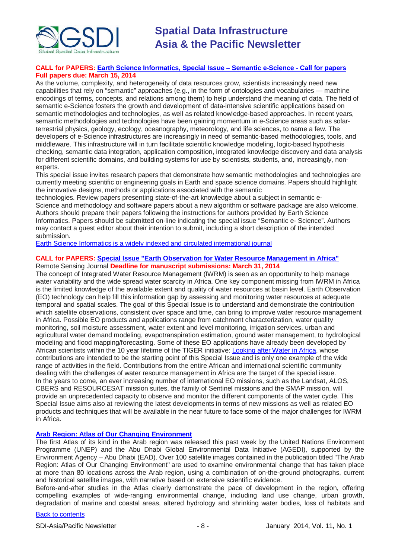

# **CALL for PAPERS: [Earth Science Informatics, Special Issue](http://tw.rpi.edu/media/latest/ESIN_SeS_CFP.pdf)** ‒ **Semantic e-Science - Call for papers Full papers due: March 15, 2014**

As the volume, complexity, and heterogeneity of data resources grow, scientists increasingly need new capabilities that rely on "semantic" approaches (e.g., in the form of ontologies and vocabularies — machine encodings of terms, concepts, and relations among them) to help understand the meaning of data. The field of semantic e-Science fosters the growth and development of data-intensive scientific applications based on semantic methodologies and technologies, as well as related knowledge-based approaches. In recent years, semantic methodologies and technologies have been gaining momentum in e-Science areas such as solarterrestrial physics, geology, ecology, oceanography, meteorology, and life sciences, to name a few. The developers of e-Science infrastructures are increasingly in need of semantic-based methodologies, tools, and middleware. This infrastructure will in turn facilitate scientific knowledge modeling, logic-based hypothesis checking, semantic data integration, application composition, integrated knowledge discovery and data analysis for different scientific domains, and building systems for use by scientists, students, and, increasingly, nonexperts.

This special issue invites research papers that demonstrate how semantic methodologies and technologies are currently meeting scientific or engineering goals in Earth and space science domains. Papers should highlight the innovative designs, methods or applications associated with the semantic

technologies. Review papers presenting state-of-the-art knowledge about a subject in semantic e-Science and methodology and software papers about a new algorithm or software package are also welcome. Authors should prepare their papers following the instructions for authors provided by Earth Science Informatics. Papers should be submitted on-line indicating the special issue "Semantic e- Science". Authors may contact a guest editor about their intention to submit, including a short description of the intended submission.

[Earth Science Informatics is a widely indexed and circulated international journal](http://www.springer.com/earth+sciences+and+geography/journal/12145)

#### **CALL for PAPERS: [Special Issue "Earth Observation for Water Resource Management in Africa"](http://www.mdpi.com/journal/remotesensing/special_issues/water_management_in_africa)** Remote Sensing Journal **Deadline for manuscript submissions: March 31, 2014**

The concept of Integrated Water Resource Management (IWRM) is seen as an opportunity to help manage water variability and the wide spread water scarcity in Africa. One key component missing from IWRM in Africa is the limited knowledge of the available extent and quality of water resources at basin level. Earth Observation (EO) technology can help fill this information gap by assessing and monitoring water resources at adequate temporal and spatial scales. The goal of this Special Issue is to understand and demonstrate the contribution which satellite observations, consistent over space and time, can bring to improve water resource management in Africa. Possible EO products and applications range from catchment characterization, water quality monitoring, soil moisture assessment, water extent and level monitoring, irrigation services, urban and agricultural water demand modeling, evapotranspiration estimation, ground water management, to hydrological modeling and flood mapping/forecasting. Some of these EO applications have already been developed by African scientists within the 10 year lifetime of the TIGER initiative: [Looking after Water in Africa,](http://www.tiger.esa.int/) whose contributions are intended to be the starting point of this Special Issue and is only one example of the wide range of activities in the field. Contributions from the entire African and international scientific community dealing with the challenges of water resource management in Africa are the target of the special issue. In the years to come, an ever increasing number of international EO missions, such as the Landsat, ALOS, CBERS and RESOURCESAT mission suites, the family of Sentinel missions and the SMAP mission, will provide an unprecedented capacity to observe and monitor the different components of the water cycle. This Special Issue aims also at reviewing the latest developments in terms of new missions as well as related EO products and techniques that will be available in the near future to face some of the major challenges for IWRM in Africa.

# **[Arab Region: Atlas of Our Changing Environment](http://www.unep.org/Documents.Multilingual/Default.asp?DocumentID=2756&ArticleID=10678&l=en)**

The first Atlas of its kind in the Arab region was released this past week by the United Nations Environment Programme (UNEP) and the Abu Dhabi Global Environmental Data Initiative (AGEDI), supported by the Environment Agency – Abu Dhabi (EAD). Over 100 satellite images contained in the publication titled "The Arab Region: Atlas of Our Changing Environment" are used to examine environmental change that has taken place at more than 80 locations across the Arab region, using a combination of on-the-ground photographs, current and historical satellite images, with narrative based on extensive scientific evidence.

Before-and-after studies in the Atlas clearly demonstrate the pace of development in the region, offering compelling examples of wide-ranging environmental change, including land use change, urban growth, degradation of marine and coastal areas, altered hydrology and shrinking water bodies, loss of habitats and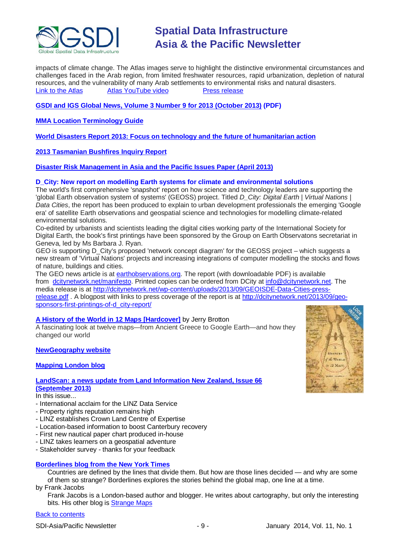

impacts of climate change. The Atlas images serve to highlight the distinctive environmental circumstances and challenges faced in the Arab region, from limited freshwater resources, rapid urbanization, depletion of natural resources, and the vulnerability of many Arab settlements to environmental risks and natural disasters. [Link to the Atlas](http://na.unep.net/atlas/viewAtlasBookWithID.php?atlasID=2447) **[Atlas YouTube video](http://www.youtube.com/watch?v=g4frRsNihwI)** [Press release](http://www.agedi.ae/pages/content/PRL_Change%20Atlas_08122013.pdf)

# **[GSDI and IGS Global News, Volume 3 Number 9 for 2013 \(October 2013\)](http://www.gsdi.org/newsletters#GSDI) (PDF)**

**[MMA Location Terminology Guide](http://www.mmaglobal.com/location-terminology-guide)**

**[World Disasters Report 2013: Focus on technology and the future of humanitarian action](http://www.ifrc.org/PageFiles/134658/WDR%202013%20complete.pdf)**

**[2013 Tasmanian Bushfires Inquiry Report](http://www.dpac.tas.gov.au/divisions/osem/2013_tasmanian_bushfires_inquiry_report/2013_tasmanian_bushfires_inquiry_report)**

**[Disaster Risk Management in Asia and the Pacific Issues Paper \(April 2013\)](http://www.pacificdisaster.net/pdnadmin/data/original/ADB_2013_DRM_Asia_Pacific.pdf)**

# **D\_City: New report on modelling Earth systems for climate and environmental solutions**

The world's first comprehensive 'snapshot' report on how science and technology leaders are supporting the 'global Earth observation system of systems' (GEOSS) project. Titled *D\_City: Digital Earth | Virtual Nations | Data Cities*, the report has been produced to explain to urban development professionals the emerging 'Google era' of satellite Earth observations and geospatial science and technologies for modelling climate-related environmental solutions.

Co-edited by urbanists and scientists leading the digital cities working party of the International Society for Digital Earth, the book's first printings have been sponsored by the Group on Earth Observatons secretariat in Geneva, led by Ms Barbara J. Ryan.

GEO is supporting D\_City's proposed 'network concept diagram' for the GEOSS project – which suggests a new stream of 'Virtual Nations' projects and increasing integrations of computer modelling the stocks and flows of nature, buildings and cities.

The GEO news article is at [earthobservations.org.](http://earthobservations.org/) The report (with downloadable PDF) is available from [dcitynetwork.net/manifesto.](http://dcitynetwork.net/manifesto) Printed copies can be ordered from DCity at [info@dcitynetwork.net.](mailto:info@dcitynetwork.net) The media release is at [http://dcitynetwork.net/wp-content/uploads/2013/09/GEOISDE-Data-Cities-press](http://dcitynetwork.net/wp-content/uploads/2013/09/GEOISDE-Data-Cities-press-release.pdf)[release.pdf](http://dcitynetwork.net/wp-content/uploads/2013/09/GEOISDE-Data-Cities-press-release.pdf) . A blogpost with links to press coverage of the report is at [http://dcitynetwork.net/2013/09/geo](http://dcitynetwork.net/2013/09/geo-sponsors-first-printings-of-d_city-report/)[sponsors-first-printings-of-d\\_city-report/](http://dcitynetwork.net/2013/09/geo-sponsors-first-printings-of-d_city-report/)

# **[A History of the World in 12 Maps](http://www.amazon.com/A-History-World-12-Maps/dp/product-description/0670023396/ref=dp_proddesc_0?ie=UTF8&n=283155&s=books) [Hardcover]** by Jerry Brotton

A fascinating look at twelve maps—from Ancient Greece to Google Earth—and how they changed our world

### **[NewGeography website](http://www.newgeography.com/)**

# **[Mapping London blog](http://mappinglondon.co.uk/)**

# **[LandScan: a news update from Land Information New Zealand, Issue 66](http://www.linz.govt.nz/sites/default/files/docs/supporting-info/about-linz/publications/landscan-201303.pdf) [\(September](http://www.linz.govt.nz/sites/default/files/docs/supporting-info/about-linz/publications/landscan-201303.pdf) 2013)**

In this issue...

- International acclaim for the LINZ Data Service
- Property rights reputation remains high
- LINZ establishes Crown Land Centre of Expertise
- Location-based information to boost Canterbury recovery
- First new nautical paper chart produced in-house
- LINZ takes learners on a geospatial adventure
- Stakeholder survey thanks for your feedback

### **[Borderlines blog from the New York Times](http://opinionator.blogs.nytimes.com/category/borderlines/)**

Countries are defined by the lines that divide them. But how are those lines decided — and why are some of them so strange? Borderlines explores the stories behind the global map, one line at a time. by Frank Jacobs

Frank Jacobs is a London-based author and blogger. He writes about cartography, but only the interesting bits. His other blog is [Strange Maps](http://bigthink.com/blogs/strange-maps)

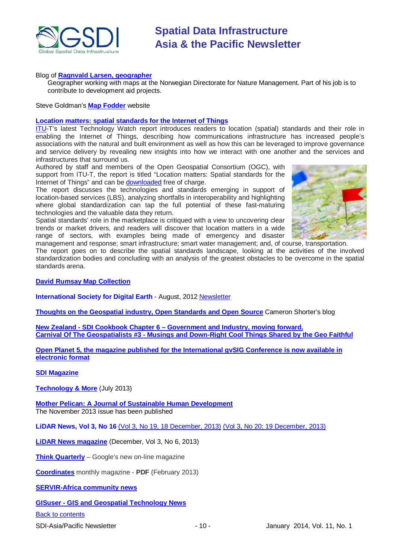

### Blog of **[Ragnvald Larsen, geographer](http://www.mindland.com/wp/)**

Geographer working with maps at the Norwegian Directorate for Nature Management. Part of his job is to contribute to development aid projects.

Steve Goldman's **[Map Fodder](http://www.mapfodder.com/index.html)** website

#### **[Location matters: spatial standards for the Internet of Things](http://www.itu.int/dms_pub/itu-t/oth/23/01/T23010000210001PDFE.pdf)**

[ITU-](http://newslog.itu.int/archives/148)T's latest Technology Watch report introduces readers to location (spatial) standards and their role in enabling the Internet of Things, describing how communications infrastructure has increased people's associations with the natural and built environment as well as how this can be leveraged to improve governance and service delivery by revealing new insights into how we interact with one another and the services and infrastructures that surround us.

Authored by staff and members of the Open Geospatial Consortium (OGC), with support from ITU-T, the report is titled "Location matters: Spatial standards for the Internet of Things" and can be [downloaded](http://www.itu.int/dms_pub/itu-t/oth/23/01/T23010000210001PDFE.pdf) free of charge.

The report discusses the technologies and standards emerging in support of location-based services (LBS), analyzing shortfalls in interoperability and highlighting where global standardization can tap the full potential of these fast-maturing technologies and the valuable data they return.

Spatial standards' role in the marketplace is critiqued with a view to uncovering clear trends or market drivers, and readers will discover that location matters in a wide range of sectors, with examples being made of emergency and disaster



management and response; smart infrastructure; smart water management; and, of course, transportation. The report goes on to describe the spatial standards landscape, looking at the activities of the involved standardization bodies and concluding with an analysis of the greatest obstacles to be overcome in the spatial standards arena.

**[David Rumsay Map Collection](http://www.davidrumsey.com/)**

**International Society for Digital Earth** - August, 2012 [Newsletter](http://www.digitalearth-isde.org/news/isde-newsletter(201208).html)

**[Thoughts on the Geospatial industry, Open Standards and Open Source](http://cameronshorter.blogspot.com/2011/06/memoirs-of-cat-herder-coordinating.html)** Cameron Shorter's blog

**New Zealand - SDI Cookbook Chapter 6 – [Government and Industry, moving forward.](http://www.geospatial.govt.nz/sdi-cookbook-chapter-6-government-and-industry-moving-forward) Carnival Of The Geospatialists #3 - [Musings and Down-Right Cool Things Shared by the Geo Faithful](http://www.gisuser.com/content/view/25690/28/)**

**[Open Planet 5, the magazine published for the International gvSIG Conference is now available in](http://jornadas.gvsig.org/descargas/magazine)  [electronic format](http://jornadas.gvsig.org/descargas/magazine)**

# **[SDI Magazine](http://www.sdimag.com/)**

**[Technology & More](http://www.trimble.com/technologyandmore/i2-2013/)** (July 2013)

**[Mother Pelican: A Journal of Sustainable Human Development](http://www.pelicanweb.org/solisustv09n11page1.html)** The November 2013 issue has been published

**LiDAR News, Vol 3, No 16** (Vol 3, No 19, 18 [December, 2013\)](http://www.lidarnews.com/newsletter/Vol3No19.htm) [\(Vol 3, No 20; 19 December, 2013\)](http://www.lidarnews.com/newsletter/Vol3No20.htm)

**[LiDAR News magazine](http://lidarnews.com/emag/2013/vol3no6/index.html)** (December, Vol 3, No 6, 2013)

**[Think Quarterly](http://thinkquarterly.co.uk/#aboutthebook)** – Google's new on-line magazine

**[Coordinates](http://mycoordinates.org/pdf/feb13.pdf)** monthly magazine - **PDF** (February 2013)

**[SERVIR-Africa community news](http://www.servirglobal.net/africa/en/News/CommunityNews.aspx)**

**GISuser - [GIS and Geospatial Technology News](http://www.gisuser.com/)**

[Back to contents](#page-0-0)

SDI-Asia/Pacific Newsletter 1992 - 10 - 10 - January 2014, Vol. 11, No. 1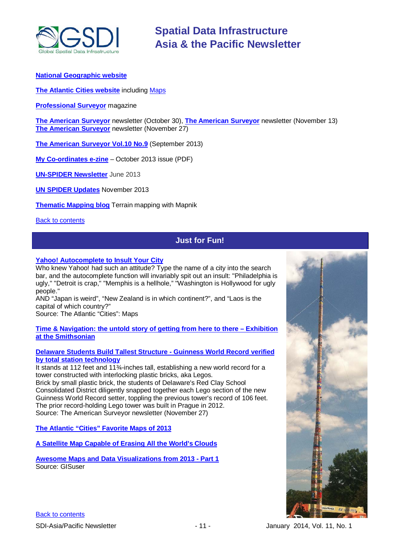

# **[National Geographic website](http://www.nationalgeographic.com/)**

**[The Atlantic Cities website](http://www.theatlanticcities.com/)** including [Maps](http://www.theatlanticcities.com/posts/map/)

**[Professional Surveyor](http://www.profsurv.com/)** magazine

**[The American Surveyor](http://www.amerisurv.com/newsletter/30OCT2013.htm)** newsletter (October 30), **[The American Surveyor](http://www.amerisurv.com/newsletter/13NOV2013.htm)** newsletter (November 13) **[The American Surveyor](http://www.amerisurv.com/newsletter/27NOV2013.htm)** newsletter (November 27)

**[The American Surveyor Vol.10 No.9](http://amerisurv.com/emag/2013/vol10no9/index.html)** (September 2013)

**[My Co-ordinates e-zine](http://mycoordinates.org/pdf/oct13.pdf)** – October 2013 issue (PDF)

**[UN-SPIDER](http://www.un-spider.org/about/newsletter/un-spider-newsletter-213-earth-observation-disaster-response) Newsletter** June 2013

**[UN SPIDER Updates](http://www.un-spider.org/about/updates/un-spider-updates-may-2013)** November 2013

**[Thematic Mapping blog](http://blog.thematicmapping.org/)** Terrain mapping with Mapnik

<span id="page-10-0"></span>**[Back to contents](#page-0-0)** 

# **Just for Fun!**

# **[Yahoo! Autocomplete to Insult Your City](http://www.theatlanticcities.com/neighborhoods/2013/12/please-allow-googles-autocomplete-insult-your-city/7750/)**

Who knew Yahoo! had such an attitude? Type the name of a city into the search bar, and the autocomplete function will invariably spit out an insult: "Philadelphia is ugly," "Detroit is crap," "Memphis is a hellhole," "Washington is Hollywood for ugly people."

AND "Japan is weird", "New Zealand is in which continent?", and "Laos is the capital of which country?"

Source: The Atlantic "Cities": Maps

**[Time & Navigation: the untold story of getting from here to there –](http://timeandnavigation.si.edu/) Exhibition [at the Smithsonian](http://timeandnavigation.si.edu/)**

# **[Delaware Students Build Tallest Structure -](http://www.amerisurv.com/content/view/12040/153/) Guinness World Record verified [by total station technology](http://www.amerisurv.com/content/view/12040/153/)**

It stands at 112 feet and 11¾-inches tall, establishing a new world record for a tower constructed with interlocking plastic bricks, aka Legos. Brick by small plastic brick, the students of Delaware's Red Clay School Consolidated District diligently snapped together each Lego section of the new Guinness World Record setter, toppling the previous tower's record of 106 feet. The prior record-holding Lego tower was built in Prague in 2012. Source: The American Surveyor newsletter (November 27)

**[The Atlantic "Cities" Favorite Maps of 2013](http://www.theatlanticcities.com/technology/2013/12/most-innovative-maps-2013/7952/)**

**[A Satellite Map Capable of Erasing All the World's Clouds](http://www.theatlanticcities.com/technology/2013/04/satellite-map-capable-erasing-all-worlds-clouds/5176/)**

**[Awesome Maps and Data Visualizations from 2013 -](http://www.gisuser.com/content/view/31781/222/) Part 1** Source: GISuser

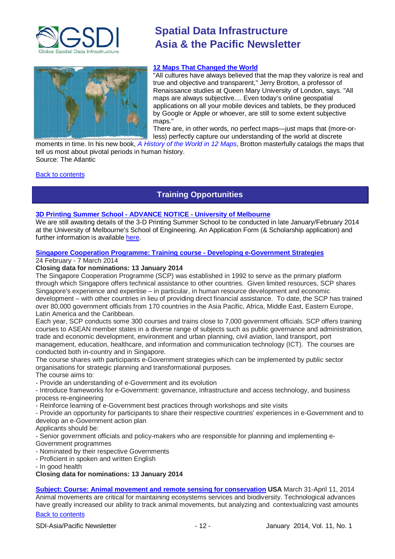



# **[12 Maps That Changed](http://www.theatlantic.com/international/archive/2013/12/12-maps-that-changed-the-world/282666/) the World**

"All cultures have always believed that the map they valorize is real and true and objective and transparent," Jerry Brotton, a professor of Renaissance studies at Queen Mary University of London, says. "All maps are always subjective.... Even today's online geospatial applications on all your mobile devices and tablets, be they produced by Google or Apple or whoever, are still to some extent subjective maps."

There are, in other words, no perfect maps—just maps that (more-orless) perfectly capture our understanding of the world at discrete

moments in time. In his new book, *[A History of the World in 12 Maps](http://www.amazon.com/A-History-World-12-Maps/dp/product-description/0670023396/ref=dp_proddesc_0?ie=UTF8&n=283155&s=books)*, Brotton masterfully catalogs the maps that tell us most about pivotal periods in human history. Source: The Atlantic

<span id="page-11-0"></span>[Back to contents](#page-0-0)

# **Training Opportunities**

# **3D Printing Summer School - ADVANCE NOTICE - University of Melbourne**

We are still awaiting details of the 3-D Printing Summer School to be conducted in late January/February 2014 at the University of Melbourne's School of Engineering. An Application Form (& Scholarship application) and further information is available [here.](https://docs.google.com/forms/d/1-OeGdcuFI5EI652HLRCSCNMFQVeriBG3Y7iMr4m7fhA/viewform)

# **Singapore Cooperation Programme: Training course - [Developing e-Government Strategies](http://www.scp.gov.sg/content/scp/about_us/introduction.html)**

### 24 February - 7 March 2014

# **Closing data for nominations: 13 January 2014**

The Singapore Cooperation Programme (SCP) was established in 1992 to serve as the primary platform through which Singapore offers technical assistance to other countries. Given limited resources, SCP shares Singapore's experience and expertise – in particular, in human resource development and economic development – with other countries in lieu of providing direct financial assistance. To date, the SCP has trained over 80,000 government officials from 170 countries in the Asia Pacific, Africa, Middle East, Eastern Europe, Latin America and the Caribbean.

Each year, SCP conducts some 300 courses and trains close to 7,000 government officials. SCP offers training courses to ASEAN member states in a diverse range of subjects such as public governance and administration, trade and economic development, environment and urban planning, civil aviation, land transport, port management, education, healthcare, and information and communication technology (ICT). The courses are conducted both in-country and in Singapore.

The course shares with participants e-Government strategies which can be implemented by public sector organisations for strategic planning and transformational purposes.

The course aims to:

- Provide an understanding of e-Government and its evolution

- Introduce frameworks for e-Government: governance, infrastructure and access technology, and business process re-engineering

- Reinforce learning of e-Government best practices through workshops and site visits

- Provide an opportunity for participants to share their respective countries' experiences in e-Government and to develop an e-Government action plan

Applicants should be:

- Senior government officials and policy-makers who are responsible for planning and implementing e-Government programmes

- Nominated by their respective Governments

- Proficient in spoken and written English

- In good health

**Closing data for nominations: 13 January 2014**

[Back to contents](#page-0-0) **[Subject: Course: Animal movement and remote sensing for conservation](http://smconservation.gmu.edu/programs/graduate-and-professional/professional-training-courses/animove-animal-movement-analysis-for-conservation/) USA** March 31-April 11, 2014 Animal movements are critical for maintaining ecosystems services and biodiversity. Technological advances have greatly increased our ability to track animal movements, but analyzing and contextualizing vast amounts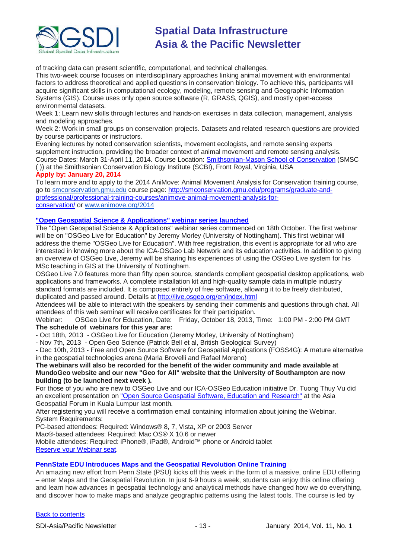

of tracking data can present scientific, computational, and technical challenges.

This two-week course focuses on interdisciplinary approaches linking animal movement with environmental factors to address theoretical and applied questions in conservation biology. To achieve this, participants will acquire significant skills in computational ecology, modeling, remote sensing and Geographic Information Systems (GIS). Course uses only open source software (R, GRASS, QGIS), and mostly open-access environmental datasets.

Week 1: Learn new skills through lectures and hands-on exercises in data collection, management, analysis and modeling approaches.

Week 2: Work in small groups on conservation projects. Datasets and related research questions are provided by course participants or instructors.

Evening lectures by noted conservation scientists, movement ecologists, and remote sensing experts supplement instruction, providing the broader context of animal movement and remote sensing analysis. Course Dates: March 31-April 11, 2014. Course Location: [Smithsonian-Mason School of Conservation](http://www.smconservation.gmu.edu/) (SMSC ( )) at the Smithsonian Conservation Biology Institute (SCBI), Front Royal, Virginia, USA

# **Apply by: January 20, 2014**

To learn more and to apply to the 2014 AniMove: Animal Movement Analysis for Conservation training course, go to [smconservation.gmu.edu](http://smconservation.gmu.edu/) course page: [http://smconservation.gmu.edu/programs/graduate-and](http://smconservation.gmu.edu/programs/graduate-and-professional/professional-training-courses/animove-animal-movement-analysis-for-conservation/)[professional/professional-training-courses/animove-animal-movement-analysis-for](http://smconservation.gmu.edu/programs/graduate-and-professional/professional-training-courses/animove-animal-movement-analysis-for-conservation/)[conservation/](http://smconservation.gmu.edu/programs/graduate-and-professional/professional-training-courses/animove-animal-movement-analysis-for-conservation/) or [www.animove.org/2014](http://www.animove.org/2014)

# **"Open Geospatial Science & Applications" webinar series launched**

The "Open Geospatial Science & Applications" webinar series commenced on 18th October. The first webinar will be on "OSGeo Live for Education" by Jeremy Morley (University of Nottingham). This first webinar will address the theme "OSGeo Live for Education". With free registration, this event is appropriate for all who are interested in knowing more about the ICA-OSGeo Lab Network and its education activities. In addition to giving an overview of OSGeo Live, Jeremy will be sharing his experiences of using the OSGeo Live system for his MSc teaching in GIS at the University of Nottingham.

OSGeo Live 7.0 features more than fifty open source, standards compliant geospatial desktop applications, web applications and frameworks. A complete installation kit and high-quality sample data in multiple industry standard formats are included. It is composed entirely of free software, allowing it to be freely distributed, duplicated and passed around. Details at <http://live.osgeo.org/en/index.html>

Attendees will be able to interact with the speakers by sending their comments and questions through chat. All attendees of this web seminar will receive certificates for their participation.

Webinar: OSGeo Live for Education, Date: Friday, October 18, 2013, Time: 1:00 PM - 2:00 PM GMT **The schedule of webinars for this year are:**

- Oct 18th, 2013 - OSGeo Live for Education (Jeremy Morley, University of Nottingham)

- Nov 7th, 2013 - Open Geo Science (Patrick Bell et al, British Geological Survey)

- Dec 10th, 2013 - Free and Open Source Software for Geospatial Applications (FOSS4G): A mature alternative in the geospatial technologies arena (Maria Brovelli and Rafael Moreno)

## **The webinars will also be recorded for the benefit of the wider community and made available at MundoGeo website and our new "Geo for All" website that the University of Southampton are now building (to be launched next week ).**

For those of you who are new to OSGeo Live and our ICA-OSGeo Education initiative Dr. Tuong Thuy Vu did an excellent presentation on "Open Source [Geospatial Software, Education and Research"](http://prezi.com/hv18xf8_wolq/?utm_campaign=share&utm_medium=copy) at the Asia Geospatial Forum in Kuala Lumpur last month.

After registering you will receive a confirmation email containing information about joining the Webinar. System Requirements:

PC-based attendees: Required: Windows® 8, 7, Vista, XP or 2003 Server

Mac®-based attendees: Required: Mac OS® X 10.6 or newer

Mobile attendees: Required: iPhone®, iPad®, Android™ phone or Android tablet [Reserve your Webinar seat.](https://www2.gotomeeting.com/register/446065050)

# **[PennState EDU Introduces Maps and the Geospatial](http://blog.gisuser.com/2013/07/16/pennstate-edu-introduces-maps-and-the-geospatial-revolution-online-training/) Revolution Online Training**

An amazing new effort from Penn State (PSU) kicks off this week in the form of a massive, online EDU offering – enter Maps and the Geospatial Revolution. In just 6-9 hours a week, students can enjoy this online offering and learn how advances in geospatial technology and analytical methods have changed how we do everything, and discover how to make maps and analyze geographic patterns using the latest tools. The course is led by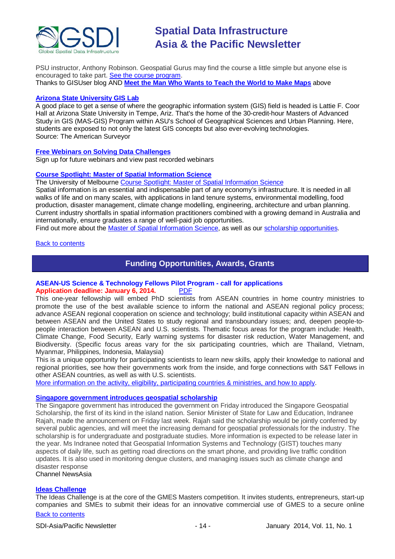

PSU instructor, Anthony Robinson. Geospatial Gurus may find the course a little simple but anyone else is encouraged to take part. [See the course program.](https://www.coursera.org/course/maps) Thanks to GISUser blog AND **[Meet the Man Who Wants to Teach the World to Make Maps](#page-10-0)** above

### **[Arizona State University](http://www.amerisurv.com/content/view/11050/153/) GIS Lab**

A good place to get a sense of where the geographic information system (GIS) field is headed is Lattie F. Coor Hall at Arizona State University in Tempe, Ariz. That's the home of the 30-credit-hour Masters of Advanced Study in GIS (MAS-GIS) Program within ASU's School of Geographical Sciences and Urban Planning. Here, students are exposed to not only the latest GIS concepts but also ever-evolving technologies. Source: The American Surveyor

# **[Free Webinars on Solving Data Challenges](http://www.safe.com/learning/webinars/)**

Sign up for future webinars and view past recorded webinars

# **[Course Spotlight: Master of Spatial Information Science](http://themelbourneengineer.eng.unimelb.edu.au/2012/02/course-spotlight-master-of-spatial-information-science/)**

The University of Melbourne [Course Spotlight: Master of Spatial Information Science](http://themelbourneengineer.eng.unimelb.edu.au/2012/02/course-spotlight-master-of-spatial-information-science/)

Spatial information is an essential and indispensable part of any economy's infrastructure. It is needed in all walks of life and on many scales, with applications in land tenure systems, environmental modelling, food production, disaster management, climate change modelling, engineering, architecture and urban planning. Current industry shortfalls in spatial information practitioners combined with a growing demand in Australia and internationally, ensure graduates a range of well-paid job opportunities.

Find out more about the **Master of Spatial Information Science**, as well as our [scholarship opportunities.](http://www.eng.unimelb.edu.au/study/graduate/scholarships.html)

### <span id="page-13-0"></span>[Back to contents](#page-0-0)

# **Funding Opportunities, Awards, Grants**

# **ASEAN-US Science & Technology Fellows Pilot Program - call for applications** Application deadline: January 6, 2014.

This one-year fellowship will embed PhD scientists from ASEAN countries in home country ministries to promote the use of the best available science to inform the national and ASEAN regional policy process; advance ASEAN regional cooperation on science and technology; build institutional capacity within ASEAN and between ASEAN and the United States to study regional and transboundary issues; and, deepen people-topeople interaction between ASEAN and U.S. scientists. Thematic focus areas for the program include: Health, Climate Change, Food Security, Early warning systems for disaster risk reduction, Water Management, and Biodiversity. (Specific focus areas vary for the six participating countries, which are Thailand, Vietnam, Myanmar, Philippines, Indonesia, Malaysia)

This is a unique opportunity for participating scientists to learn new skills, apply their knowledge to national and regional priorities, see how their governments work from the inside, and forge connections with S&T Fellows in other ASEAN countries, as well as with U.S. scientists.

[More information on the activity, eligibility, participating countries & ministries, and how to apply.](http://www.usaid.gov/documents/1861/asean-us-science-and-technology-st-fellows-pilot-program-call-proposals)

# **[Singapore government introduces geospatial scholarship](http://www.channelnewsasia.com/news/singapore/government-introduces/763842.html)**

The Singapore government has introduced the government on Friday introduced the Singapore Geospatial Scholarship, the first of its kind in the island nation. Senior Minister of State for Law and Education, Indranee Rajah, made the announcement on Friday last week. Rajah said the scholarship would be jointly conferred by several public agencies, and will meet the increasing demand for geospatial professionals for the industry. The scholarship is for undergraduate and postgraduate studies. More information is expected to be release later in the year. Ms Indranee noted that Geospatial Information Systems and Technology (GIST) touches many aspects of daily life, such as getting road directions on the smart phone, and providing live traffic condition updates. It is also used in monitoring dengue clusters, and managing issues such as climate change and disaster response

Channel NewsAsia

# **[Ideas Challenge](http://www.gmes-masters.com/ideas-challenge)**

[Back to contents](#page-0-0) The Ideas Challenge is at the core of the GMES Masters competition. It invites students, entrepreneurs, start-up companies and SMEs to submit their ideas for an innovative commercial use of GMES to a secure online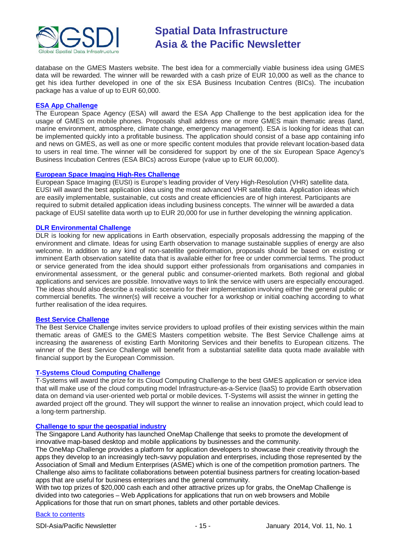

database on the GMES Masters website. The best idea for a commercially viable business idea using GMES data will be rewarded. The winner will be rewarded with a cash prize of EUR 10,000 as well as the chance to get his idea further developed in one of the six ESA Business Incubation Centres (BICs). The incubation package has a value of up to EUR 60,000.

### **[ESA App Challenge](http://www.gmes-masters.com/esa-app-challenge)**

The European Space Agency (ESA) will award the ESA App Challenge to the best application idea for the usage of GMES on mobile phones. Proposals shall address one or more GMES main thematic areas (land, marine environment, atmosphere, climate change, emergency management). ESA is looking for ideas that can be implemented quickly into a profitable business. The application should consist of a base app containing info and news on GMES, as well as one or more specific content modules that provide relevant location-based data to users in real time. The winner will be considered for support by one of the six European Space Agency's Business Incubation Centres (ESA BICs) across Europe (value up to EUR 60,000).

# **[European Space Imaging High-Res Challenge](http://www.gmes-masters.com/european-space-0)**

European Space Imaging (EUSI) is Europe's leading provider of Very High-Resolution (VHR) satellite data. EUSI will award the best application idea using the most advanced VHR satellite data. Application ideas which are easily implementable, sustainable, cut costs and create efficiencies are of high interest. Participants are required to submit detailed application ideas including business concepts. The winner will be awarded a data package of EUSI satellite data worth up to EUR 20,000 for use in further developing the winning application.

### **[DLR Environmental Challenge](http://www.gmes-masters.com/dlr-environmental)**

DLR is looking for new applications in Earth observation, especially proposals addressing the mapping of the environment and climate. Ideas for using Earth observation to manage sustainable supplies of energy are also welcome. In addition to any kind of non-satellite geoinformation, proposals should be based on existing or imminent Earth observation satellite data that is available either for free or under commercial terms. The product or service generated from the idea should support either professionals from organisations and companies in environmental assessment, or the general public and consumer-oriented markets. Both regional and global applications and services are possible. Innovative ways to link the service with users are especially encouraged. The ideas should also describe a realistic scenario for their implementation involving either the general public or commercial benefits. The winner(s) will receive a voucher for a workshop or initial coaching according to what further realisation of the idea requires.

# **[Best Service Challenge](http://www.gmes-masters.com/best-service)**

The Best Service Challenge invites service providers to upload profiles of their existing services within the main thematic areas of GMES to the GMES Masters competition website. The Best Service Challenge aims at increasing the awareness of existing Earth Monitoring Services and their benefits to European citizens. The winner of the Best Service Challenge will benefit from a substantial satellite data quota made available with financial support by the European Commission.

### **[T-Systems Cloud Computing Challenge](http://www.gmes-masters.com/t-systems-cloud)**

T-Systems will award the prize for its Cloud Computing Challenge to the best GMES application or service idea that will make use of the cloud computing model Infrastructure-as-a-Service (IaaS) to provide Earth observation data on demand via user-oriented web portal or mobile devices. T-Systems will assist the winner in getting the awarded project off the ground. They will support the winner to realise an innovation project, which could lead to a long-term partnership.

### **[Challenge to spur the geospatial industry](http://geospatialworld.net/index.php?option=com_content&view=article&id=23850:challenge-to-spur-the-geospatial-industry&catid=75:miscellaneous-events)**

The Singapore Land Authority has launched OneMap Challenge that seeks to promote the development of innovative map-based desktop and mobile applications by businesses and the community.

The OneMap Challenge provides a platform for application developers to showcase their creativity through the apps they develop to an increasingly tech-savvy population and enterprises, including those represented by the Association of Small and Medium Enterprises (ASME) which is one of the competition promotion partners. The Challenge also aims to facilitate collaborations between potential business partners for creating location-based apps that are useful for business enterprises and the general community.

With two top prizes of \$20,000 cash each and other attractive prizes up for grabs, the OneMap Challenge is divided into two categories – Web Applications for applications that run on web browsers and Mobile Applications for those that run on smart phones, tablets and other portable devices.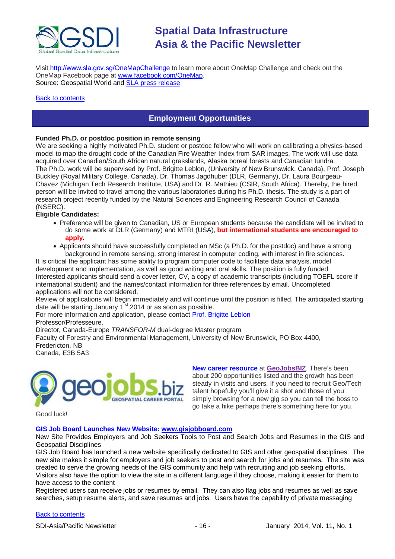

Visit <http://www.sla.gov.sg/OneMapChallenge> to learn more about OneMap Challenge and check out the OneMap Facebook page at [www.facebook.com/OneMap.](http://www.facebook.com/OneMap) Source: Geospatial World and **SLA press release** 

### <span id="page-15-0"></span>[Back to contents](#page-0-0)

# **Employment Opportunities**

# **Funded Ph.D. or postdoc position in remote sensing**

We are seeking a highly motivated Ph.D. student or postdoc fellow who will work on calibrating a physics-based model to map the drought code of the Canadian Fire Weather Index from SAR images. The work will use data acquired over Canadian/South African natural grasslands, Alaska boreal forests and Canadian tundra. The Ph.D. work will be supervised by Prof. Brigitte Leblon, (University of New Brunswick, Canada), Prof. Joseph Buckley (Royal Military College, Canada), Dr. Thomas Jagdhuber (DLR, Germany), Dr. Laura Bourgeau-Chavez (Michigan Tech Research Institute, USA) and Dr. R. Mathieu (CSIR, South Africa). Thereby, the hired person will be invited to travel among the various laboratories during his Ph.D. thesis. The study is a part of research project recently funded by the Natural Sciences and Engineering Research Council of Canada (NSERC).

# **Eligible Candidates:**

- Preference will be given to Canadian, US or European students because the candidate will be invited to do some work at DLR (Germany) and MTRI (USA), **but international students are encouraged to apply**.
- Applicants should have successfully completed an MSc (a Ph.D. for the postdoc) and have a strong background in remote sensing, strong interest in computer coding, with interest in fire sciences.

It is critical the applicant has some ability to program computer code to facilitate data analysis, model development and implementation, as well as good writing and oral skills. The position is fully funded. Interested applicants should send a cover letter, CV, a copy of academic transcripts (including TOEFL score if international student) and the names/contact information for three references by email. Uncompleted applications will not be considered.

Review of applications will begin immediately and will continue until the position is filled. The anticipated starting date will be starting January  $1<sup>st</sup>$  2014 or as soon as possible.

For more information and application, please contact [Prof. Brigitte Leblon](mailto:bleblon@unb.ca)

Professor/Professeure,

Director, Canada-Europe *TRANSFOR-M* dual-degree Master program

Faculty of Forestry and Environmental Management, University of New Brunswick, PO Box 4400, Fredericton, NB

Canada, E3B 5A3



**New career resource** at **[GeoJobsBIZ](http://geojobs.biz/)**. There's been about 200 opportunities listed and the growth has been steady in visits and users. If you need to recruit Geo/Tech talent hopefully you'll give it a shot and those of you simply browsing for a new gig so you can tell the boss to go take a hike perhaps there's something here for you.

Good luck!

### **GIS Job Board Launches New Website: [www.gisjobboard.com](http://www.gisjobboard.com/)**

New Site Provides Employers and Job Seekers Tools to Post and Search Jobs and Resumes in the GIS and Geospatial Disciplines

GIS Job Board has launched a new website specifically dedicated to GIS and other geospatial disciplines. The new site makes it simple for employers and job seekers to post and search for jobs and resumes. The site was created to serve the growing needs of the GIS community and help with recruiting and job seeking efforts. Visitors also have the option to view the site in a different language if they choose, making it easier for them to have access to the content

Registered users can receive jobs or resumes by email. They can also flag jobs and resumes as well as save searches, setup resume alerts, and save resumes and jobs. Users have the capability of private messaging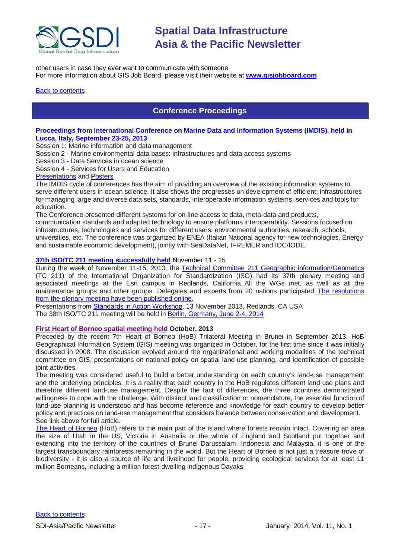

other users in case they ever want to communicate with someone. For more information about GIS Job Board, please visit their website at **[www.gisjobboard.com](http://www.gisjobboard.com/)**

# <span id="page-16-0"></span>**[Back to contents](#page-0-0)**

# **Conference Proceedings**

# **Proceedings from International Conference on Marine Data and Information Systems (IMDIS), held in Lucca, Italy, September 23-25, 2013**

Session 1: Marine information and data management

Session 2 - Marine environmental data bases: infrastructures and data access systems

Session 3 - Data Services in ocean science

Session 4 - Services for Users and Education

## [Presentations](http://imdis2013.seadatanet.org/Presentations) and [Posters](http://imdis2013.seadatanet.org/Posters)

The IMDIS cycle of conferences has the aim of providing an overview of the existing information systems to serve different users in ocean science. It also shows the progresses on development of efficient: infrastructures for managing large and diverse data sets, standards, interoperable information systems, services and tools for education.

The Conference presented different systems for on-line access to data, meta-data and products, communication standards and adapted technology to ensure platforms interoperability. Sessions focused on infrastructures, technologies and services for different users: environmental authorities, research, schools, universities, etc. The conference was organized by ENEA (Italian National agency for new technologies, Energy and sustainable economic development), jointly with SeaDataNet, IFREMER and IOC/IODE.

### **[37th ISO/TC 211 meeting successfully held](http://www.isotc211.org/News_archive/Redlands.htm)** November 11 - 15

During the week of November 11-15, 2013, the [Technical Committee 211 Geographic information/Geomatics](http://www.isotc211.org/) (TC 211) of the International Organization for Standardization (ISO) had its 37th plenary meeting and associated meetings at the Esri campus in Redlands, California. All the WGs met, as well as all the maintenance groups and other groups. Delegates and experts from 20 nations participated. [The resolutions](http://www.isotc211.org/opendoc/211n3671/ISO-TC211-N3671_Resolutions_37th_meeting_Redlands_2013-11-15.pdf)  [from the plenary meeting have been published online.](http://www.isotc211.org/opendoc/211n3671/ISO-TC211-N3671_Resolutions_37th_meeting_Redlands_2013-11-15.pdf)

Presentations from [Standards in Action Workshop,](http://www.isotc211.org/Workshop_Redlands/Redlands-Standards_in_action_workshop.pdf) 13 November 2013, Redlands, CA USA The 38th ISO/TC 211 meeting will be held in [Berlin, Germany,](http://www.isotc211.org/Berlin/Berlin_2014.pdf) June 2-4, 2014

# **[First Heart of Borneo spatial meeting held](http://wwf.panda.org/?212013/The-First-Heart-of-Borneo-Spatial-Meeting) October, 2013**

Preceded by the recent 7th Heart of Borneo (HoB) Trilateral Meeting in Brunei in September 2013, HoB Geographical Information System (GIS) meeting was organized in October, for the first time since it was initially discussed in 2008. The discussion evolved around the organizational and working modalities of the technical committee on GIS, presentations on national policy on spatial land-use planning, and identification of possible joint activities.

The meeting was considered useful to build a better understanding on each country's land-use management and the underlying principles. It is a reality that each country in the HoB regulates different land use plans and therefore different land-use management. Despite the fact of differences, the three countries demonstrated willingness to cope with the challenge. With distinct land classification or nomenclature, the essential function of land-use planning is understood and has become reference and knowledge for each country to develop better policy and practices on land-use management that considers balance between conservation and development. See link above for full article.

[The Heart of Borneo](http://wwf.panda.org/what_we_do/where_we_work/borneo_forests/) (HoB) refers to the main part of the island where forests remain intact. Covering an area the size of Utah in the US, Victoria in Australia or the whole of England and Scotland put together and extending into the territory of the countries of Brunei Darussalam, Indonesia and Malaysia, it is one of the largest transboundary rainforests remaining in the world. But the Heart of Borneo is not just a treasure trove of biodiversity - it is also a source of life and livelihood for people, providing ecological services for at least 11 million Borneans, including a million forest-dwelling indigenous Dayaks.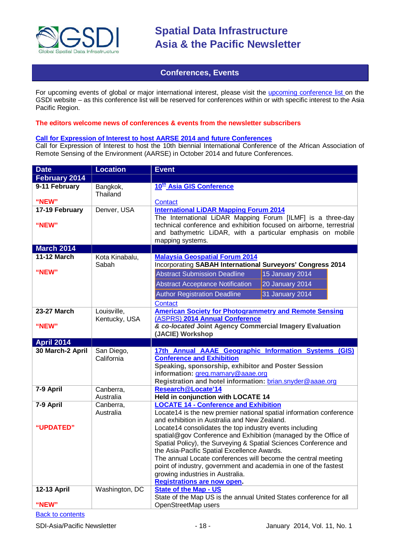

# **Conferences, Events**

<span id="page-17-0"></span>For upcoming events of global or major international interest, please visit the [upcoming conference list o](http://gsdi.org/events/upcnf.asp)n the GSDI website – as this conference list will be reserved for conferences within or with specific interest to the Asia Pacific Region.

# **The editors welcome news of conferences & events from the newsletter subscribers**

# **[Call for Expression of Interest to host AARSE 2014 and future Conferences](http://lists.gsdi.org/pipermail/sdi-africa/2010-November/001135.html)**

Call for Expression of Interest to host the 10th biennial International Conference of the African Association of Remote Sensing of the Environment (AARSE) in October 2014 and future Conferences.

| <b>Date</b>                 | <b>Location</b>              | <b>Event</b>                                                                                                                                                                                                                                                                                                                                                                                                                                                                                                                                                                                                                        |  |
|-----------------------------|------------------------------|-------------------------------------------------------------------------------------------------------------------------------------------------------------------------------------------------------------------------------------------------------------------------------------------------------------------------------------------------------------------------------------------------------------------------------------------------------------------------------------------------------------------------------------------------------------------------------------------------------------------------------------|--|
| February 2014               |                              |                                                                                                                                                                                                                                                                                                                                                                                                                                                                                                                                                                                                                                     |  |
| 9-11 February               | Bangkok,<br>Thailand         | 10 <sup>th</sup> Asia GIS Conference                                                                                                                                                                                                                                                                                                                                                                                                                                                                                                                                                                                                |  |
| "NEW"                       |                              | Contact                                                                                                                                                                                                                                                                                                                                                                                                                                                                                                                                                                                                                             |  |
| 17-19 February<br>"NEW"     | Denver, USA                  | <b>International LiDAR Mapping Forum 2014</b><br>The International LiDAR Mapping Forum [ILMF] is a three-day<br>technical conference and exhibition focused on airborne, terrestrial<br>and bathymetric LiDAR, with a particular emphasis on mobile<br>mapping systems.                                                                                                                                                                                                                                                                                                                                                             |  |
| <b>March 2014</b>           |                              |                                                                                                                                                                                                                                                                                                                                                                                                                                                                                                                                                                                                                                     |  |
| <b>11-12 March</b><br>"NEW" | Kota Kinabalu,<br>Sabah      | <b>Malaysia Geospatial Forum 2014</b><br>Incorporating SABAH International Surveyors' Congress 2014<br><b>Abstract Submission Deadline</b><br>15 January 2014<br><b>Abstract Acceptance Notification</b><br>20 January 2014<br><b>Author Registration Deadline</b><br>31 January 2014<br><b>Contact</b>                                                                                                                                                                                                                                                                                                                             |  |
| <b>23-27 March</b><br>"NEW" | Louisville,<br>Kentucky, USA | <b>American Society for Photogrammetry and Remote Sensing</b><br>(ASPRS) 2014 Annual Conference<br>& co-located Joint Agency Commercial Imagery Evaluation<br>(JACIE) Workshop                                                                                                                                                                                                                                                                                                                                                                                                                                                      |  |
| <b>April 2014</b>           |                              |                                                                                                                                                                                                                                                                                                                                                                                                                                                                                                                                                                                                                                     |  |
| 30 March-2 April            | San Diego,<br>California     | 17th Annual AAAE Geographic Information Systems (GIS)<br><b>Conference and Exhibition</b><br>Speaking, sponsorship, exhibitor and Poster Session<br>information: greg.mamary@aaae.org<br>Registration and hotel information: brian.snyder@aaae.org                                                                                                                                                                                                                                                                                                                                                                                  |  |
| 7-9 April                   | Canberra,<br>Australia       | Research@Locate'14<br>Held in conjunction with LOCATE 14                                                                                                                                                                                                                                                                                                                                                                                                                                                                                                                                                                            |  |
| 7-9 April<br>"UPDATED"      | Canberra,<br>Australia       | <b>LOCATE 14 - Conference and Exhibition</b><br>Locate14 is the new premier national spatial information conference<br>and exhibition in Australia and New Zealand.<br>Locate14 consolidates the top industry events including<br>spatial@gov Conference and Exhibition (managed by the Office of<br>Spatial Policy), the Surveying & Spatial Sciences Conference and<br>the Asia-Pacific Spatial Excellence Awards.<br>The annual Locate conferences will become the central meeting<br>point of industry, government and academia in one of the fastest<br>growing industries in Australia.<br><b>Registrations are now open.</b> |  |
| <b>12-13 April</b><br>"NEW" | Washington, DC               | <b>State of the Map - US</b><br>State of the Map US is the annual United States conference for all<br>OpenStreetMap users                                                                                                                                                                                                                                                                                                                                                                                                                                                                                                           |  |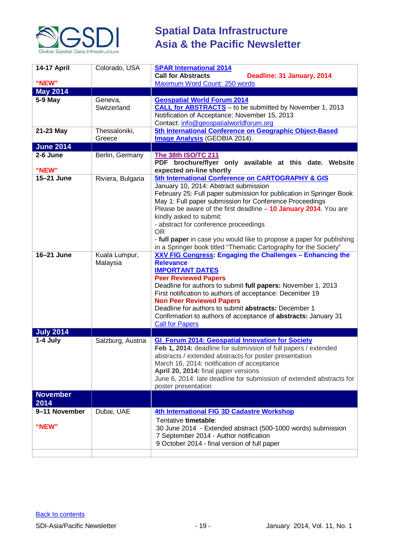

| 14-17 April<br>"NEW"     | Colorado, USA                      | <b>SPAR International 2014</b><br><b>Call for Abstracts</b><br>Deadline: 31 January, 2014<br>Maximum Word Count: 250 words                                                                                                                                                                                                                                                                                                                                                                                                                                                                                      |
|--------------------------|------------------------------------|-----------------------------------------------------------------------------------------------------------------------------------------------------------------------------------------------------------------------------------------------------------------------------------------------------------------------------------------------------------------------------------------------------------------------------------------------------------------------------------------------------------------------------------------------------------------------------------------------------------------|
| <b>May 2014</b>          |                                    |                                                                                                                                                                                                                                                                                                                                                                                                                                                                                                                                                                                                                 |
| 5-9 May                  | Geneva,                            | <b>Geospatial World Forum 2014</b>                                                                                                                                                                                                                                                                                                                                                                                                                                                                                                                                                                              |
|                          | Switzerland                        | <b>CALL for ABSTRACTS</b> - to be submitted by November 1, 2013<br>Notification of Acceptance: November 15, 2013<br>Contact: info@geospatialworldforum.org                                                                                                                                                                                                                                                                                                                                                                                                                                                      |
| 21-23 May                | Thessaloniki,<br>Greece            | 5th International Conference on Geographic Object-Based<br>Image Analysis (GEOBIA 2014).                                                                                                                                                                                                                                                                                                                                                                                                                                                                                                                        |
| <b>June 2014</b>         |                                    |                                                                                                                                                                                                                                                                                                                                                                                                                                                                                                                                                                                                                 |
| 2-6 June                 | Berlin, Germany                    | The 38th ISO/TC 211                                                                                                                                                                                                                                                                                                                                                                                                                                                                                                                                                                                             |
| "NEW"                    |                                    | PDF brochure/flyer only available at this date. Website<br>expected on-line shortly                                                                                                                                                                                                                                                                                                                                                                                                                                                                                                                             |
| 15-21 June<br>16-21 June | Riviera, Bulgaria<br>Kuala Lumpur, | 5th International Conference on CARTOGRAPHY & GIS<br>January 10, 2014: Abstract submission<br>February 25: Full paper submission for publication in Springer Book<br>May 1: Full paper submission for Conference Proceedings<br>Please be aware of the first deadline - 10 January 2014. You are<br>kindly asked to submit:<br>- abstract for conference proceedings<br><b>OR</b><br>- full paper in case you would like to propose a paper for publishing<br>in a Springer book titled "Thematic Cartography for the Society"<br>XXV FIG Congress: Engaging the Challenges - Enhancing the<br><b>Relevance</b> |
|                          | Malaysia                           | <b>IMPORTANT DATES</b><br><b>Peer Reviewed Papers</b><br>Deadline for authors to submit full papers: November 1, 2013<br>First notification to authors of acceptance: December 19<br><b>Non Peer Reviewed Papers</b><br>Deadline for authors to submit abstracts: December 1<br>Confirmation to authors of acceptance of abstracts: January 31<br><b>Call for Papers</b>                                                                                                                                                                                                                                        |
| <b>July 2014</b>         |                                    |                                                                                                                                                                                                                                                                                                                                                                                                                                                                                                                                                                                                                 |
| 1-4 July                 | Salzburg, Austria                  | <b>GI_Forum 2014: Geospatial Innovation for Society</b><br>Feb 1, 2014: deadline for submission of full papers / extended<br>abstracts / extended abstracts for poster presentation<br>March 16, 2014: notification of acceptance<br>April 20, 2014: final paper versions<br>June 6, 2014: late deadline for submission of extended abstracts for<br>poster presentation                                                                                                                                                                                                                                        |
| <b>November</b><br>2014  |                                    |                                                                                                                                                                                                                                                                                                                                                                                                                                                                                                                                                                                                                 |
| 9-11 November<br>"NEW"   | Dubai, UAE                         | 4th International FIG 3D Cadastre Workshop<br>Tentative timetable:<br>30 June 2014 - Extended abstract (500-1000 words) submission<br>7 September 2014 - Author notification<br>9 October 2014 - final version of full paper                                                                                                                                                                                                                                                                                                                                                                                    |